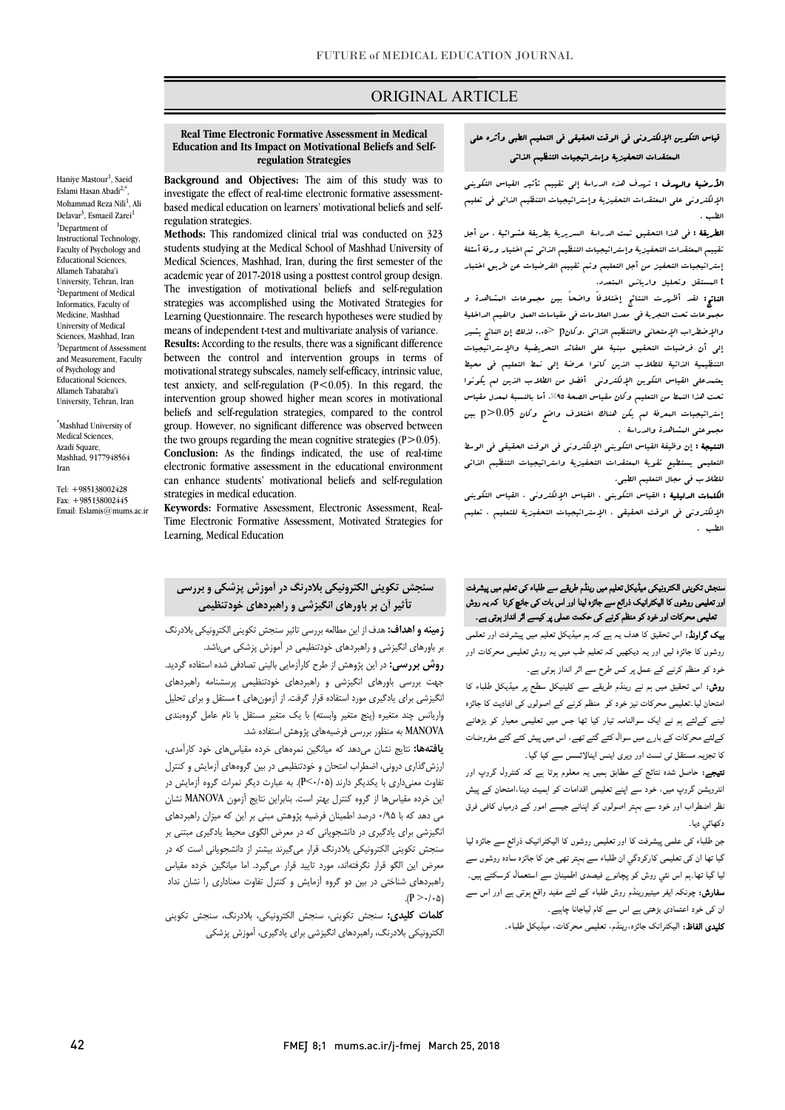### ORIGINAL ARTICLE

#### **Education and Its Impact on Motivational Beliefs and Self- regulation Strategies Real Time Electronic Formative Assessment in Medical**

Ī

 **Background and Objectives:** The aim of this study was to investigate the effect of real-time electronic formative assessment- based medical education on learners' motivational beliefs and selfregulation strategies.

 **Methods:** This randomized clinical trial was conducted on 323 Medical Sciences, Mashhad, Iran, during the first semester of the academic year of 2017-2018 using a posttest control group design. The investigation of motivational beliefs and self-regulation Learning Questionnaire. The research hypotheses were studied by means of independent t-test and multivariate analysis of variance. **Results:** According to the results, there was a significant difference motivational strategy subscales, namely self-efficacy, intrinsic value, test anxiety, and self-regulation (P<0.05). In this regard, the beliefs and self-regulation strategies, compared to the control group. However, no significant difference was observed between the two groups regarding the mean cognitive strategies  $(P>0.05)$ . electronic formative assessment in the educational environment can enhance students' motivational beliefs and self-regulation students studying at the Medical School of Mashhad University of strategies was accomplished using the Motivated Strategies for between the control and intervention groups in terms of intervention group showed higher mean scores in motivational **Conclusion:** As the findings indicated, the use of real-time strategies in medical education.

 **Keywords:** Formative Assessment, Electronic Assessment, Real- Time Electronic Formative Assessment, Motivated Strategies for Learning, Medical Education

Haniye Mastour<sup>1</sup>, Saeid Eslami Hasan Abadi<sup>2,4</sup> , Mohammad Reza Nili<sup>1</sup>, Ali Delavar<sup>3</sup>, Esmaeil Zarei<sup>1</sup> <sup>1</sup>Department of Instructional Technology, Faculty of Psychology and Educational Sciences, Allameh Tabataba'i University, Tehran, Iran <sup>2</sup>Department of Medical Informatics, Faculty of Medicine, Mashhad University of Medical Sciences, Mashhad, Iran <sup>3</sup>Department of Assessment and Measurement, Faculty of Psychology and Educational Sciences, Allameh Tabataba'i University, Tehran, Iran

\* Mashhad University of Medical Sciences, Azadi Square, Mashhad, 9177948564 Iran

Tel: +985138002428 Fax: +985138002445 Email: Eslamis@mums.ac.ir

## قیاس التکوین الإلکترونی فی الوقت الحقیقی فی التعلیم الطبی وأثره على المعتقدات التحفیزیۀ وإستراتیجیات التنظیم الذاتی

ص

 الأرضیۀ والهدف : تهدف هذه الدراسۀ إلى تقییم تأثیر القیاس التکوینی الإلکترونی على المعتقدات التحفیزیۀ وإستراتیجیات التنظیم الذاتی فی تعلیم الطب .

ا**لطریقۀ :** فی هذا التحقیق تـمت الدراسۀ السریریۀ بطریقۀ عشوائیۀ ، من أجل تقییم المعتقدات التحفیزیۀ وإستراتیجیات التنظیم الذاتی تم اختیار ورقۀ أسئلۀ <sub>و</sub>سر وبیر استعیر می استعیام و<br>1 المستقل وتحلیل واریانس المتعدد. إستراتیجیات التحفیز من أجل التعلیم وتم تقییم الفرضیات عن طریق اختبار

 الناتج: لقد أظهرت النتائج إختلافاً واضحاً بین مجموعات المشاهدة و مجموعات تحت التجربۀ فی معدل العلامات فی مقیاسات العمل والقیم الداخلیۀ والإضطراب الإمتحانی والتنظیم الذاتی .وکانp> 0,05 لذلک إن الناتج یشیر إلى أن فرضیات التحقیق مبنیۀ على العقائد التحریضیۀ والإستراتیجیات التنظیمیۀ الذاتیۀ للطلاب الذین کانوا عرضۀ إلى نمط التعلیم فی محیط یعتمدعلى القیاس التکوین الإلکترونی أفضل من الطلاب الذین لم یکونوا إستراتیجیات المعرفۀ لم یکن هناك اختلاف واضح وکان 0.05<p بین .<br>مجـوعتی الـشاهدة والدراسة . تحت هذا النمط من التعلیم وکان مقیاس الصحۀ .%95 أما بالنسبۀ لمعدل مقیاس

ا**لنتیجۀ :** إن وظیفۀ القیاس التکوینی الإلکترونی فی الوقت الحقیقی فی الوسط التعلیمی یستطیع تقویۀ المعتقدات التحفیزیۀ واستراتیجیات التنظیم الذاتی للطلاب فی مجال التعلیم الطبی.

ا**لکلمات الدلیلیۀ :** القیاس التکوینی ، القیاس الإلکترونی ، القیاس التکوینی<br>. الإلکترونی فی الوقت الحقیقی ، الإستراتیجیات التحفیزیۀ للتعلیم ، تعلیم<br>منا الطب .

## ۔<br>سنجش تکوینی الکترونیکی میڈیکل تعلیم میں رینڈم طریقے سے طلباء کی تعلیم میں پیشرفت ۔ اب سے سے محمد کے مسلم کے اس تعمیم کے مسلم کرنا ہے۔ اس تو اس تھا کہ اس تو اس تو اس تو اس تو اس تعمیم کرنا کہ<br>اور تعلیمی روشوں کا الیکٹرانیک ذرائع سے جائزہ لینا اور اس بات کی جانچ کرنا کہ یہ روش تعلیمی محرکات اور خود کو منظم کرنے کی حکمت عملی پر کیسے اثر انداز ہوتی ہے۔

**ییک گراونڈ:** اس تحقیق کا هدف یہ ہے کہ ہم میڈیکل تعلیم میں پیشرفت اور تعلمی روشوں کا جائزہ لیں اور یہ دیکھیں کہ تعلیم طب میں یہ روش تعلیمی محرکات اور خود کو منظم کرنے کے عمل پر کس طرح سے اثر انداز ہوتی ہے۔

ر**وش:** اس تحقیق میں ہم نے رینڈم طریقے سے کلینیکل سطح پر میڈیکل طلباء کا<br>۔ امتحان لیا۔تعلیمی محرکات نیز خود کو منظم کرنے کے اصولوں کی افادیت کا جائزہ<br>۔ ت رے ال ، اس وت ۔<br>کا تجزیہ مستقل ٹی ٹسٹ اور ویری اینس اینالائسس سے کیا گیا۔ لینے کےلئے ہم نے ایک سوالنامہ تیار کیا تھا جس میں تعلیمی معیار کو بڑھانے

**تیجے:** حاصل شدہ نتائج کے مطابق ہمیں یہ معلوم ہوتا ہے کہ کنٹرول گروپ اور انٹرویشن گروپ میں، خود سے اپنے تعلیمی اقدامات کو اہمیت دینا،امتحان کے پیش نظر اضطراب اور خود سے بہتر اصولوں کو اپنانے جیسے امور کے درمیاں کافی فرق دکھائی دیا۔

جن طلباء کی علمی پیشرفت کا اور تعلیمی روشوں کا الیکٹرانیک ذرائع سے جائزہ لیا گیا تھا ان کی تعلیمی کارکردگي ان طلباء سے بہتر تھی جن کا جائزہ سادہ روشوں سے لیا گیا تھا۔ہم اس نئی روش کو پچانو<sub>ے</sub> فیصدی اطمینان سے استعمال کرسکتے ہیں۔<br>۔ **سفارش:** چونکہ ایفر میٹیورینڈم روش طلباء کے لئے مفید واقع ہوتی ہے اور اس سے<br>استعمال ان کی خود اعتمادی بڑھتی ہے اس سے کام لیاجانا چاہیے۔

۔<br>**کلیدی الفاظ:** الیکٹرانک جائزہ،رینڈم، تعلیمی محرکات، میڈیکل طلباء۔

## **سنجش تکوینی الکترونیکی بلادرنگ در آموزش پزشکی و بررسی** ĺ **تأثیر آن بر باورهاي انگیزشی و راهبردهاي خودتنظیمی**

**یک گراونڈ:** اس تحقیق کا هدف یہ ہے کہ ہم میڈیکل تعلیم میں پیشرفت اور تعلمی مطالع تک ان این مطالعه بررسی تاثیر سنجش تکوینی الکترونیکی بلادرنگ بر باورهاي انگیزشی و راهبردهاي خودتنظیمی در آموزش پزشکی میباشد.

**روس بررسی** برر<sub>سی</sub> پربس را س عرارسی با پیی سنگیستان سنگ برسید.<br>جهت بررسی باورهای انگیزشی و راهبردهای خودتنظیمی پرسشنامه راهبردهای انگیزشی براي یادگیري مورد استفاده قرار گرفت. از آزمونهاي t مستقل و براي تحلیل واریانس چند متغیره (پنج متغیر وابسته) با یک متغیر مستقل با نام عامل گروهبندي MANOVA به منظور بررسی فرضیههاي پژوهش استفاده شد. **روش بررسی:** در این پژوهش از طرح کارآزمایی بالینی تصادفی شده استفاده گردید.

 **یافتهها:** نتایج نشان میدهد که میانگین نمرههاي خرده مقیاسهاي خود کارآمدي، ارزشگذاري درونی، اضطراب امتحان و خودتنظیمی در بین گروههاي آزمایش و کنترل تفاوت معنیداري با یکدیگر دارند (0/05>P(. به عبارت دیگر نمرات گروه آزمایش در این خرده مقیاسها از گروه کنترل بهتر است. بنابراین نتایج آزمون MANOVA نشان انگیزشی براي یادگیري در دانشجویانی که در معرض الگوي محیط یادگیري مبتنی بر سنجش تکوینی الکترونیکی بلادرنگ قرار میگیرند بیشتر از دانشجویانی است که در معرض این الگو قرار نگرفتهاند، مورد تایید قرار میگیرد. اما میانگین خرده مقیاس راهبردهاي شناختی در بین دو گروه آزمایش و کنترل تفاوت معناداري را نشان نداد می دهد که با 0/95 درصد اطمینان فرضیه پژوهش مبنی بر این که میزان راهبردهاي  $(P > \cdot / \cdot \Delta)$ 

 **کلمات کلیدي:** سنجش تکوینی، سنجش الکترونیکی، بلادرنگ، سنجش تکوینی الکترونیکی بلادرنگ، راهبردهاي انگیزشی براي یادگیري، آموزش پزشکی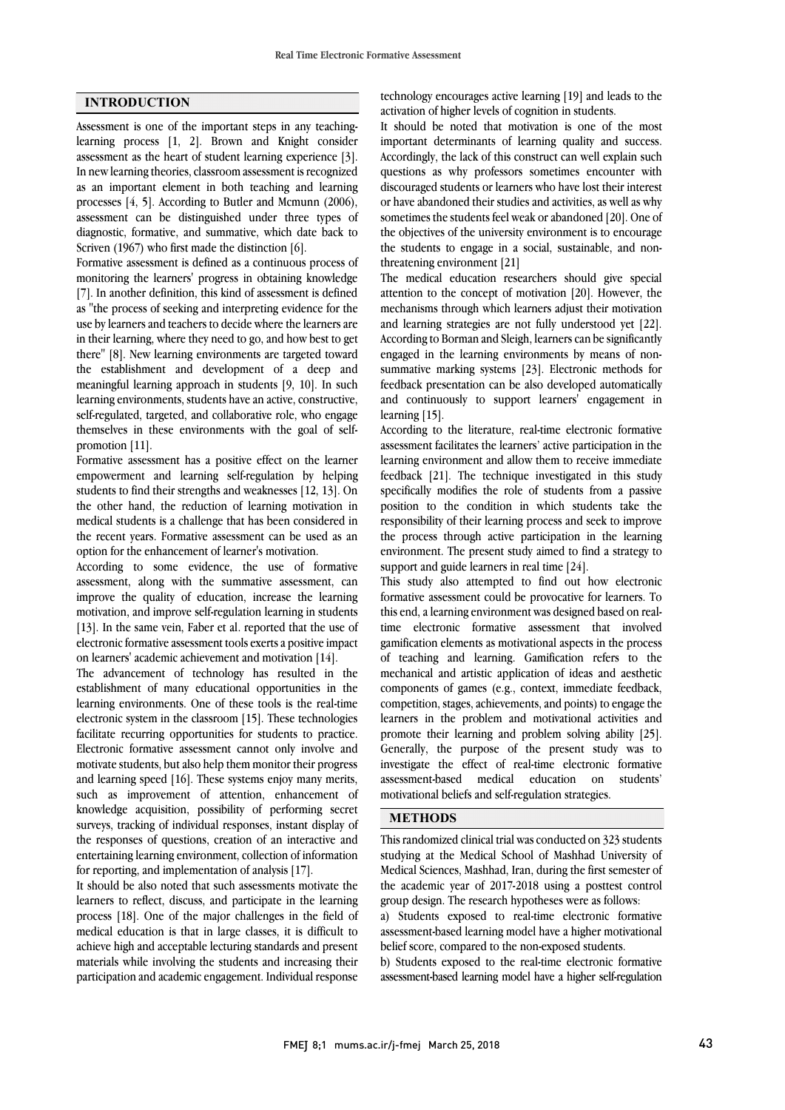### **INTRODUCTION**

Assessment is one of the important steps in any teachinglearning process [1, 2]. Brown and Knight consider assessment as the heart of student learning experience [3]. In new learning theories, classroom assessment is recognized as an important element in both teaching and learning processes [4, 5]. According to Butler and Mcmunn (2006), assessment can be distinguished under three types of diagnostic, formative, and summative, which date back to Scriven (1967) who first made the distinction [6].

Formative assessment is defined as a continuous process of monitoring the learners' progress in obtaining knowledge [7]. In another definition, this kind of assessment is defined as "the process of seeking and interpreting evidence for the use by learners and teachers to decide where the learners are in their learning, where they need to go, and how best to get there" [8]. New learning environments are targeted toward the establishment and development of a deep and meaningful learning approach in students [9, 10]. In such learning environments, students have an active, constructive, self-regulated, targeted, and collaborative role, who engage themselves in these environments with the goal of selfpromotion [11].

Formative assessment has a positive effect on the learner empowerment and learning self-regulation by helping students to find their strengths and weaknesses [12, 13]. On the other hand, the reduction of learning motivation in medical students is a challenge that has been considered in the recent years. Formative assessment can be used as an option for the enhancement of learner's motivation.

According to some evidence, the use of formative assessment, along with the summative assessment, can improve the quality of education, increase the learning motivation, and improve self-regulation learning in students [13]. In the same vein, Faber et al. reported that the use of electronic formative assessment tools exerts a positive impact on learners' academic achievement and motivation [14].

The advancement of technology has resulted in the establishment of many educational opportunities in the learning environments. One of these tools is the real-time electronic system in the classroom [15]. These technologies facilitate recurring opportunities for students to practice. Electronic formative assessment cannot only involve and motivate students, but also help them monitor their progress and learning speed [16]. These systems enjoy many merits, such as improvement of attention, enhancement of knowledge acquisition, possibility of performing secret surveys, tracking of individual responses, instant display of the responses of questions, creation of an interactive and entertaining learning environment, collection of information for reporting, and implementation of analysis [17].

It should be also noted that such assessments motivate the learners to reflect, discuss, and participate in the learning process [18]. One of the major challenges in the field of medical education is that in large classes, it is difficult to achieve high and acceptable lecturing standards and present materials while involving the students and increasing their participation and academic engagement. Individual response

 activation of higher levels of cognition in students. technology encourages active learning [19] and leads to the

 It should be noted that motivation is one of the most important determinants of learning quality and success. Accordingly, the lack of this construct can well explain such discouraged students or learners who have lost their interest or have abandoned their studies and activities, as well as why sometimes the students feel weak or abandoned [20]. One of the objectives of the university environment is to encourage threatening environment [21] questions as why professors sometimes encounter with the students to engage in a social, sustainable, and non-

 The medical education researchers should give special attention to the concept of motivation [20]. However, the mechanisms through which learners adjust their motivation  $\alpha$  and canning strategies are not rany understood yet  $[22]$ .<br>According to Borman and Sleigh, learners can be significantly engaged in the learning environments by means of non- summative marking systems [23]. Electronic methods for feedback presentation can be also developed automatically learning [15]. and learning strategies are not fully understood yet [22]. and continuously to support learners' engagement in

According to the literature, real-time electronic formative assessment facilitates the learners' active participation in the learning environment and allow them to receive immediate specifically modifies the role of students from a passive position to the condition in which students take the responsibility of their learning process and seek to improve the process through active participation in the learning support and guide learners in real time [24]. feedback [21]. The technique investigated in this study environment. The present study aimed to find a strategy to

 This study also attempted to find out how electronic formative assessment could be provocative for learners. To this end, a learning environment was designed based on realgamification elements as motivational aspects in the process of teaching and learning. Gamification refers to the mechanical and artistic application of ideas and aesthetic components of games (e.g., context, immediate feedback, learners in the problem and motivational activities and promote their learning and problem solving ability [25]. Generally, the purpose of the present study was to investigate the effect of real-time electronic formative motivational beliefs and self-regulation strategies. time electronic formative assessment that involved competition, stages, achievements, and points) to engage the assessment-based medical education on students'

### L **METHODS**

 This randomized clinical trial was conducted on 323 students Medical Sciences, Mashhad, Iran, during the first semester of the academic year of 2017-2018 using a posttest control group design. The research hypotheses were as follows: studying at the Medical School of Mashhad University of

 a) Students exposed to real-time electronic formative belief score, compared to the non-exposed students. assessment-based learning model have a higher motivational

 b) Students exposed to the real-time electronic formative assessment-based learning model have a higher self-regulation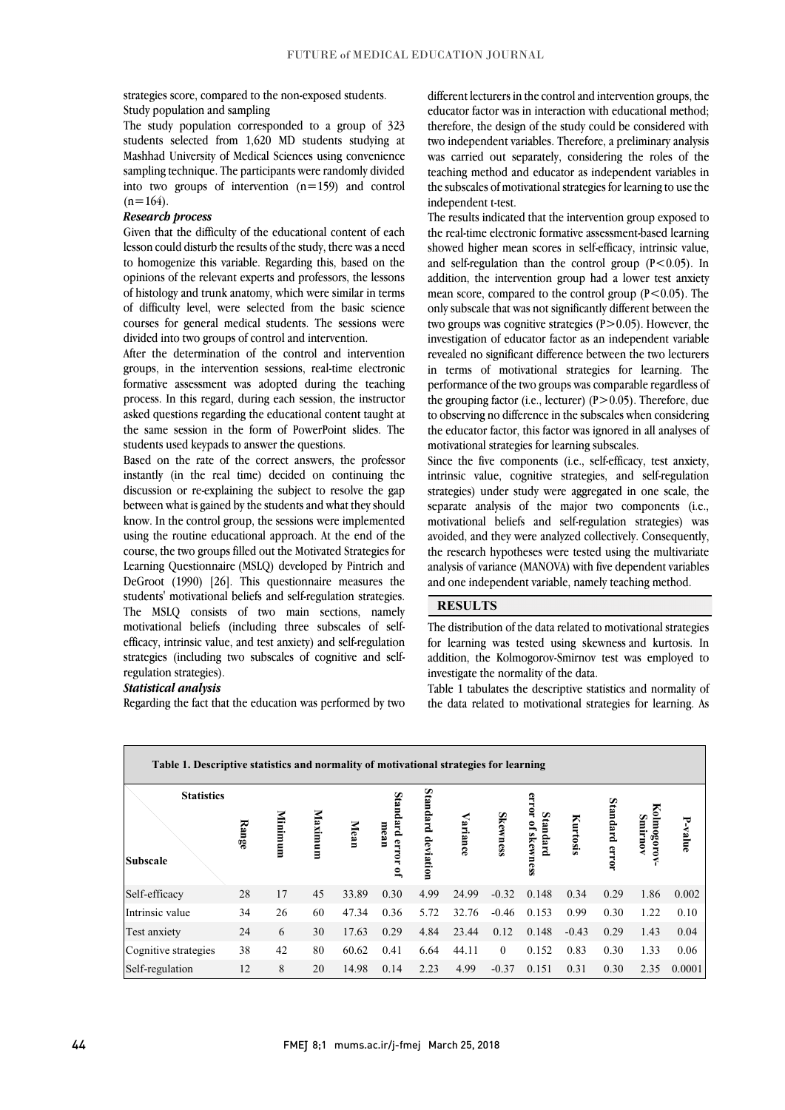strategies score, compared to the non-exposed students. Study population and sampling

 The study population corresponded to a group of 323 students selected from 1,620 MD students studying at Mashhad University of Medical Sciences using convenience  $\frac{1}{2}$  and  $\frac{1}{2}$  and  $\frac{1}{2}$  and  $\frac{1}{2}$  and  $\frac{1}{2}$  and  $\frac{1}{2}$  control sampling technique. The participants were randomly divided  $(n=164)$ .

#### *Research process*

 Given that the difficulty of the educational content of each to homogenize this variable. Regarding this, based on the opinions of the relevant experts and professors, the lessons of histology and trunk anatomy, which were similar in terms of difficulty level, were selected from the basic science divided into two groups of control and intervention. lesson could disturb the results of the study, there was a need courses for general medical students. The sessions were

 After the determination of the control and intervention groups, in the intervention sessions, real-time electronic formative assessment was adopted during the teaching asked questions regarding the educational content taught at the same session in the form of PowerPoint slides. The process. In this regard, during each session, the instructor students used keypads to answer the questions.

 Based on the rate of the correct answers, the professor discussion or re-explaining the subject to resolve the gap between what is gained by the students and what they should know. In the control group, the sessions were implemented using the routine educational approach. At the end of the Learning Questionnaire (MSLQ) developed by Pintrich and DeGroot (1990) [26]. This questionnaire measures the students' motivational beliefs and self-regulation strategies. The MSLQ consists of two main sections, namely efficacy, intrinsic value, and test anxiety) and self-regulation strategies (including two subscales of cognitive and selfinstantly (in the real time) decided on continuing the course, the two groups filled out the Motivated Strategies for motivational beliefs (including three subscales of selfregulation strategies).

#### *Statistical analysis*

Regarding the fact that the education was performed by two

educator factor was in interaction with educational method; therefore, the design of the study could be considered with two independent variables. Therefore, a preliminary analysis was carried out separately, considering the roles of the teaching method and educator as independent variables in ľ different lecturers in the control and intervention groups, the the subscales of motivational strategies for learning to use the independent t-test.

 The results indicated that the intervention group exposed to the real-time electronic formative assessment-based learning and self-regulation than the control group  $(P<0.05)$ . In addition, the intervention group had a lower test anxiety mean score, compared to the control group (P<0.05). The only subscale that was not significantly different between the two groups was cognitive strategies  $(P>0.05)$ . However, the revealed no significant difference between the two lecturers in terms of motivational strategies for learning. The performance of the two groups was comparable regardless of the grouping ractor  $(i, c)$ , rectately  $(i > 0.05)$ . Therefore, due<br>to observing no difference in the subscales when considering the educator factor, this factor was ignored in all analyses of showed higher mean scores in self-efficacy, intrinsic value, investigation of educator factor as an independent variable the grouping factor (i.e., lecturer)  $(P>0.05)$ . Therefore, due motivational strategies for learning subscales.

 Since the five components (i.e., self-efficacy, test anxiety, intrinsic value, cognitive strategies, and self-regulation separate analysis of the major two components (i.e., motivational beliefs and self-regulation strategies) was avoided, and they were analyzed collectively. Consequently, analysis of variance (MANOVA) with five dependent variables and one independent variable, namely teaching method. strategies) under study were aggregated in one scale, the the research hypotheses were tested using the multivariate

### **RESULTS**

 for learning was tested using skewness and kurtosis. In addition, the Kolmogorov-Smirnov test was employed to The distribution of the data related to motivational strategies investigate the normality of the data.

í j

 Table 1 tabulates the descriptive statistics and normality of the data related to motivational strategies for learning. As

| Table 1. Descriptive statistics and normality of motivational strategies for learning |       |         |         |       |                                          |           |          |                 |                         |          |                   |                      |         |
|---------------------------------------------------------------------------------------|-------|---------|---------|-------|------------------------------------------|-----------|----------|-----------------|-------------------------|----------|-------------------|----------------------|---------|
| <b>Statistics</b>                                                                     |       |         |         |       |                                          | Standard  |          |                 | error                   |          |                   |                      |         |
| <b>Subscale</b>                                                                       | Range | Minimum | Maximum | Mean  | Standard error<br>mean<br>$\overline{a}$ | deviation | Variance | <b>Skewness</b> | Standard<br>of skewness | Kurtosis | Standard<br>error | Kolmogoro<br>Smirnov | P-value |
| Self-efficacy                                                                         | 28    | 17      | 45      | 33.89 | 0.30                                     | 4.99      | 24.99    | $-0.32$         | 0.148                   | 0.34     | 0.29              | 1.86                 | 0.002   |
| Intrinsic value                                                                       | 34    | 26      | 60      | 47.34 | 0.36                                     | 5.72      | 32.76    | $-0.46$         | 0.153                   | 0.99     | 0.30              | 1.22                 | 0.10    |
| Test anxiety                                                                          | 24    | 6       | 30      | 17.63 | 0.29                                     | 4.84      | 23.44    | 0.12            | 0.148                   | $-0.43$  | 0.29              | 1.43                 | 0.04    |
| Cognitive strategies                                                                  | 38    | 42      | 80      | 60.62 | 0.41                                     | 6.64      | 44.11    | $\theta$        | 0.152                   | 0.83     | 0.30              | 1.33                 | 0.06    |
| Self-regulation                                                                       | 12    | 8       | 20      | 14.98 | 0.14                                     | 2.23      | 4.99     | $-0.37$         | 0.151                   | 0.31     | 0.30              | 2.35                 | 0.0001  |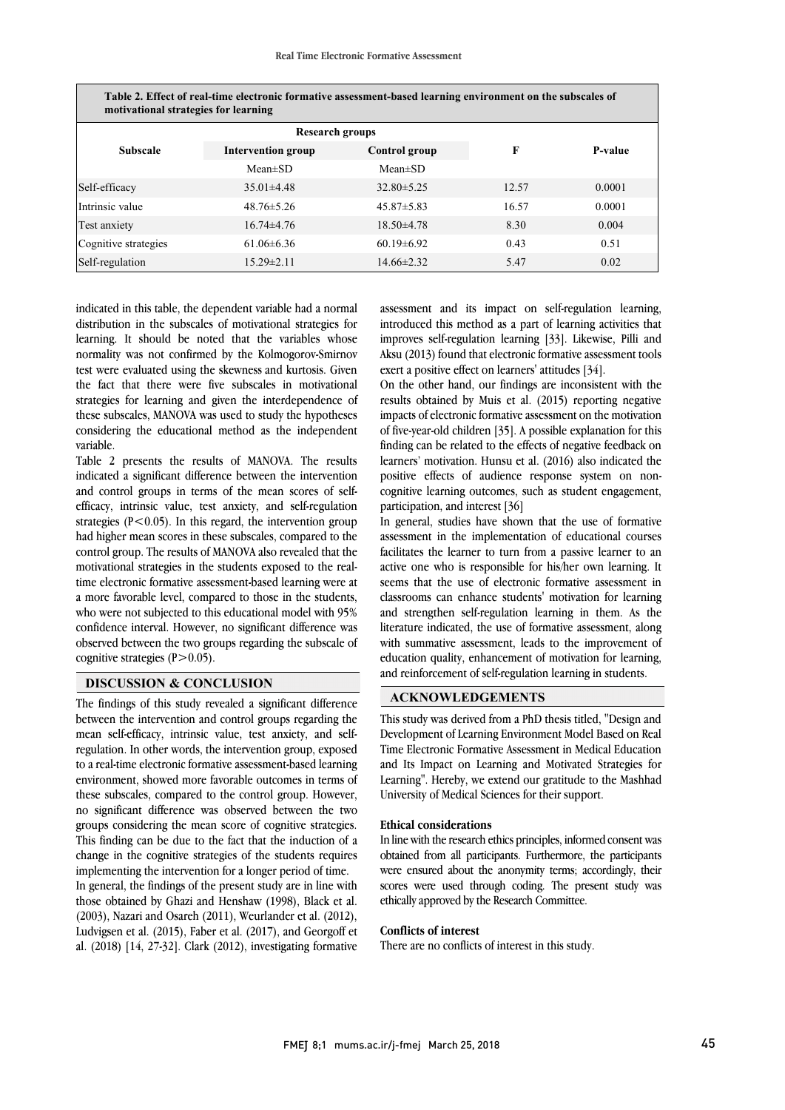| Table 2. Effect of real-time electronic formative assessment-based learning environment on the subscales of<br>motivational strategies for learning |                           |                  |       |         |  |  |  |  |  |
|-----------------------------------------------------------------------------------------------------------------------------------------------------|---------------------------|------------------|-------|---------|--|--|--|--|--|
|                                                                                                                                                     | <b>Research groups</b>    |                  |       |         |  |  |  |  |  |
| <b>Subscale</b>                                                                                                                                     | <b>Intervention group</b> | Control group    | F     | P-value |  |  |  |  |  |
|                                                                                                                                                     | $Mean \pm SD$             | $Mean \pm SD$    |       |         |  |  |  |  |  |
| Self-efficacy                                                                                                                                       | $35.01\pm4.48$            | $32.80 \pm 5.25$ | 12.57 | 0.0001  |  |  |  |  |  |
| Intrinsic value                                                                                                                                     | $48.76 \pm 5.26$          | $45.87 \pm 5.83$ | 16.57 | 0.0001  |  |  |  |  |  |
| Test anxiety                                                                                                                                        | $16.74\pm4.76$            | $18.50\pm4.78$   | 8.30  | 0.004   |  |  |  |  |  |
| Cognitive strategies                                                                                                                                | $61.06\pm 6.36$           | $60.19 \pm 6.92$ | 0.43  | 0.51    |  |  |  |  |  |
| Self-regulation                                                                                                                                     | $15.29 \pm 2.11$          | $14.66 \pm 2.32$ | 5.47  | 0.02    |  |  |  |  |  |

indicated in this table, the dependent variable had a normal distribution in the subscales of motivational strategies for learning. It should be noted that the variables whose normality was not confirmed by the Kolmogorov-Smirnov test were evaluated using the skewness and kurtosis. Given the fact that there were five subscales in motivational strategies for learning and given the interdependence of these subscales, MANOVA was used to study the hypotheses considering the educational method as the independent variable.

Table 2 presents the results of MANOVA. The results indicated a significant difference between the intervention and control groups in terms of the mean scores of selfefficacy, intrinsic value, test anxiety, and self-regulation strategies  $(P<0.05)$ . In this regard, the intervention group had higher mean scores in these subscales, compared to the control group. The results of MANOVA also revealed that the motivational strategies in the students exposed to the realtime electronic formative assessment-based learning were at a more favorable level, compared to those in the students, who were not subjected to this educational model with 95% confidence interval. However, no significant difference was observed between the two groups regarding the subscale of cognitive strategies  $(P>0.05)$ .

#### **DISCUSSION & CONCLUSION**

The findings of this study revealed a significant difference between the intervention and control groups regarding the mean self-efficacy, intrinsic value, test anxiety, and selfregulation. In other words, the intervention group, exposed to a real-time electronic formative assessment-based learning environment, showed more favorable outcomes in terms of these subscales, compared to the control group. However, no significant difference was observed between the two groups considering the mean score of cognitive strategies. This finding can be due to the fact that the induction of a change in the cognitive strategies of the students requires implementing the intervention for a longer period of time.

In general, the findings of the present study are in line with those obtained by Ghazi and Henshaw (1998), Black et al. (2003), Nazari and Osareh (2011), Weurlander et al. (2012), Ludvigsen et al. (2015), Faber et al. (2017), and Georgoff et al. (2018) [14, 27-32]. Clark (2012), investigating formative

 assessment and its impact on self-regulation learning, introduced this method as a part of learning activities that Aksu (2013) found that electronic formative assessment tools exert a positive effect on learners' attitudes [34]. improves self-regulation learning [33]. Likewise, Pilli and

 On the other hand, our findings are inconsistent with the its is obtained by must et al. (2017) reporting regarded impacts of electronic formative assessment on the motivation of five-year-old children [35]. A possible explanation for this finding can be related to the effects of negative feedback on learners' motivation. Hunsu et al. (2016) also indicated the positive effects of audience response system on non- participation, and interest [36] results obtained by Muis et al. (2015) reporting negative cognitive learning outcomes, such as student engagement,

 In general, studies have shown that the use of formative assessment in the implementation of educational courses active one who is responsible for his/her own learning. It seems that the use of electronic formative assessment in classrooms can enhance students' motivation for learning and strengthen self-regulation learning in them. As the merature indicated, the use of formative assessment, along<br>with summative assessment, leads to the improvement of education quality, enhancement of motivation for learning, and reinforcement of self-regulation learning in students. facilitates the learner to turn from a passive learner to an literature indicated, the use of formative assessment, along

# **ACKNOWLEDGEMENTS**

 This study was derived from a PhD thesis titled, "Design and Development of Learning Environment Model Based on Real Time Electronic Formative Assessment in Medical Education and Its Impact on Learning and Motivated Strategies for Learning". Hereby, we extend our gratitude to the Mashhad University of Medical Sciences for their support.

#### **Ethical considerations**

 In line with the research ethics principles, informed consent was were ensured about the anonymity terms; accordingly, their scores were used through coding. The present study was ethically approved by the Research Committee. obtained from all participants. Furthermore, the participants

#### **Conflicts of interest**

There are no conflicts of interest in this study.